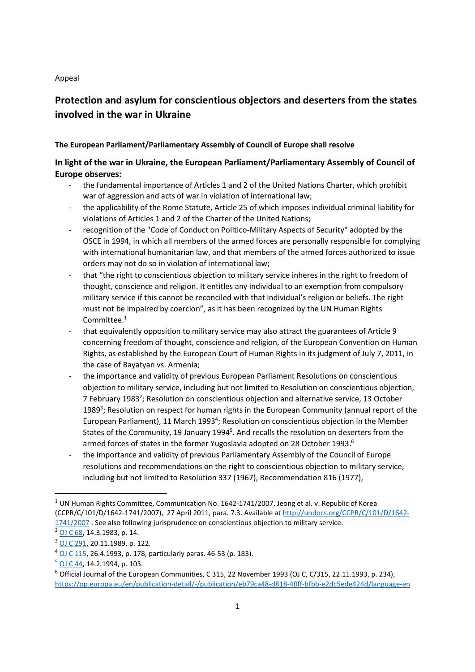#### Appeal

# Protection and asylum for conscientious objectors and deserters from the states involved in the war in Ukraine

### The European Parliament/Parliamentary Assembly of Council of Europe shall resolve

# In light of the war in Ukraine, the European Parliament/Parliamentary Assembly of Council of Europe observes:

- the fundamental importance of Articles 1 and 2 of the United Nations Charter, which prohibit war of aggression and acts of war in violation of international law;
- the applicability of the Rome Statute, Article 25 of which imposes individual criminal liability for violations of Articles 1 and 2 of the Charter of the United Nations;
- recognition of the "Code of Conduct on Politico-Military Aspects of Security" adopted by the OSCE in 1994, in which all members of the armed forces are personally responsible for complying with international humanitarian law, and that members of the armed forces authorized to issue orders may not do so in violation of international law;
- that "the right to conscientious objection to military service inheres in the right to freedom of thought, conscience and religion. It entitles any individual to an exemption from compulsory military service if this cannot be reconciled with that individual's religion or beliefs. The right must not be impaired by coercion", as it has been recognized by the UN Human Rights Committee.<sup>1</sup>
- that equivalently opposition to military service may also attract the guarantees of Article 9 concerning freedom of thought, conscience and religion, of the European Convention on Human Rights, as established by the European Court of Human Rights in its judgment of July 7, 2011, in the case of Bayatyan vs. Armenia;
- the importance and validity of previous European Parliament Resolutions on conscientious objection to military service, including but not limited to Resolution on conscientious objection, 7 February 1983<sup>2</sup>; Resolution on conscientious objection and alternative service, 13 October 1989<sup>3</sup>; Resolution on respect for human rights in the European Community (annual report of the European Parliament), 11 March 1993<sup>4</sup>; Resolution on conscientious objection in the Member States of the Community, 19 January 1994<sup>5</sup>. And recalls the resolution on deserters from the armed forces of states in the former Yugoslavia adopted on 28 October 1993.<sup>6</sup>
- the importance and validity of previous Parliamentary Assembly of the Council of Europe resolutions and recommendations on the right to conscientious objection to military service, including but not limited to Resolution 337 (1967), Recommendation 816 (1977),

 $1$  UN Human Rights Committee, Communication No. 1642-1741/2007, Jeong et al. v. Republic of Korea (CCPR/C/101/D/1642-1741/2007), 27 April 2011, para. 7.3. Available at http://undocs.org/CCPR/C/101/D/1642- 1741/2007 . See also following jurisprudence on conscientious objection to military service.

<sup>2</sup> OJ C 68, 14.3.1983, p. 14.

<sup>3</sup> OJ C 291, 20.11.1989, p. 122.

 $4$  OJ C 115, 26.4.1993, p. 178, particularly paras. 46-53 (p. 183).

 $5$  OJ C 44, 14.2.1994, p. 103.

 $6$  Official Journal of the European Communities, C 315, 22 November 1993 (OJ C, C/315, 22.11.1993, p. 234), https://op.europa.eu/en/publication-detail/-/publication/eb79ca48-d818-40ff-bfbb-e2dc5ede424d/language-en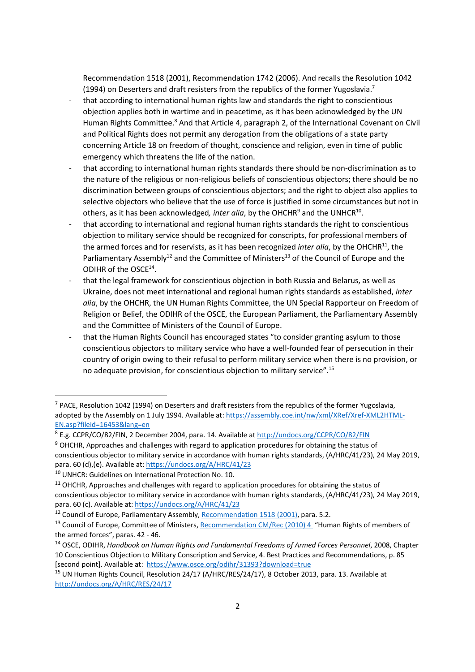Recommendation 1518 (2001), Recommendation 1742 (2006). And recalls the Resolution 1042 (1994) on Deserters and draft resisters from the republics of the former Yugoslavia.<sup>7</sup>

- that according to international human rights law and standards the right to conscientious objection applies both in wartime and in peacetime, as it has been acknowledged by the UN Human Rights Committee.<sup>8</sup> And that Article 4, paragraph 2, of the International Covenant on Civil and Political Rights does not permit any derogation from the obligations of a state party concerning Article 18 on freedom of thought, conscience and religion, even in time of public emergency which threatens the life of the nation.
- that according to international human rights standards there should be non-discrimination as to the nature of the religious or non-religious beliefs of conscientious objectors; there should be no discrimination between groups of conscientious objectors; and the right to object also applies to selective objectors who believe that the use of force is justified in some circumstances but not in others, as it has been acknowledged, inter alia, by the OHCHR<sup>9</sup> and the UNHCR<sup>10</sup>.
- that according to international and regional human rights standards the right to conscientious objection to military service should be recognized for conscripts, for professional members of the armed forces and for reservists, as it has been recognized inter alia, by the OHCHR<sup>11</sup>, the Parliamentary Assembly<sup>12</sup> and the Committee of Ministers<sup>13</sup> of the Council of Europe and the ODIHR of the OSCE<sup>14</sup>.
- that the legal framework for conscientious objection in both Russia and Belarus, as well as Ukraine, does not meet international and regional human rights standards as established, inter alia, by the OHCHR, the UN Human Rights Committee, the UN Special Rapporteur on Freedom of Religion or Belief, the ODIHR of the OSCE, the European Parliament, the Parliamentary Assembly and the Committee of Ministers of the Council of Europe.
- that the Human Rights Council has encouraged states "to consider granting asylum to those conscientious objectors to military service who have a well-founded fear of persecution in their country of origin owing to their refusal to perform military service when there is no provision, or no adequate provision, for conscientious objection to military service".<sup>15</sup>

 $<sup>7</sup>$  PACE, Resolution 1042 (1994) on Deserters and draft resisters from the republics of the former Yugoslavia,</sup> adopted by the Assembly on 1 July 1994. Available at: https://assembly.coe.int/nw/xml/XRef/Xref-XML2HTML-EN.asp?fileid=16453&lang=en

<sup>&</sup>lt;sup>8</sup> E.g. CCPR/CO/82/FIN, 2 December 2004, para. 14. Available at http://undocs.org/CCPR/CO/82/FIN

<sup>&</sup>lt;sup>9</sup> OHCHR, Approaches and challenges with regard to application procedures for obtaining the status of conscientious objector to military service in accordance with human rights standards, (A/HRC/41/23), 24 May 2019, para. 60 (d), (e). Available at: https://undocs.org/A/HRC/41/23

<sup>&</sup>lt;sup>10</sup> UNHCR: Guidelines on International Protection No. 10.

 $11$  OHCHR, Approaches and challenges with regard to application procedures for obtaining the status of conscientious objector to military service in accordance with human rights standards, (A/HRC/41/23), 24 May 2019, para. 60 (c). Available at: https://undocs.org/A/HRC/41/23

<sup>&</sup>lt;sup>12</sup> Council of Europe, Parliamentary Assembly, Recommendation 1518 (2001), para. 5.2.

<sup>&</sup>lt;sup>13</sup> Council of Europe, Committee of Ministers, Recommendation CM/Rec (2010) 4 "Human Rights of members of the armed forces", paras. 42 - 46.

<sup>&</sup>lt;sup>14</sup> OSCE, ODIHR, Handbook on Human Rights and Fundamental Freedoms of Armed Forces Personnel, 2008, Chapter 10 Conscientious Objection to Military Conscription and Service, 4. Best Practices and Recommendations, p. 85 [second point]. Available at: https://www.osce.org/odihr/31393?download=true

<sup>&</sup>lt;sup>15</sup> UN Human Rights Council, Resolution 24/17 (A/HRC/RES/24/17), 8 October 2013, para. 13. Available at http://undocs.org/A/HRC/RES/24/17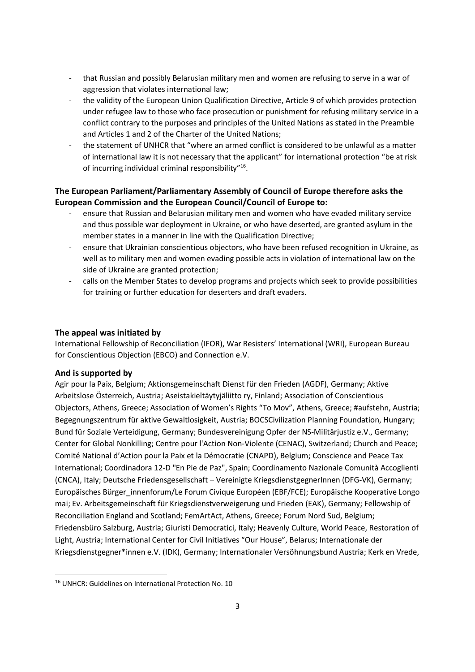- that Russian and possibly Belarusian military men and women are refusing to serve in a war of aggression that violates international law;
- the validity of the European Union Qualification Directive, Article 9 of which provides protection under refugee law to those who face prosecution or punishment for refusing military service in a conflict contrary to the purposes and principles of the United Nations as stated in the Preamble and Articles 1 and 2 of the Charter of the United Nations;
- the statement of UNHCR that "where an armed conflict is considered to be unlawful as a matter of international law it is not necessary that the applicant" for international protection "be at risk of incurring individual criminal responsibility"<sup>16</sup>.

# The European Parliament/Parliamentary Assembly of Council of Europe therefore asks the European Commission and the European Council/Council of Europe to:

- ensure that Russian and Belarusian military men and women who have evaded military service and thus possible war deployment in Ukraine, or who have deserted, are granted asylum in the member states in a manner in line with the Qualification Directive;
- ensure that Ukrainian conscientious objectors, who have been refused recognition in Ukraine, as well as to military men and women evading possible acts in violation of international law on the side of Ukraine are granted protection;
- calls on the Member States to develop programs and projects which seek to provide possibilities for training or further education for deserters and draft evaders.

## The appeal was initiated by

International Fellowship of Reconciliation (IFOR), War Resisters' International (WRI), European Bureau for Conscientious Objection (EBCO) and Connection e.V.

### And is supported by

Agir pour la Paix, Belgium; Aktionsgemeinschaft Dienst für den Frieden (AGDF), Germany; Aktive Arbeitslose Österreich, Austria; Aseistakieltäytyjäliitto ry, Finland; Association of Conscientious Objectors, Athens, Greece; Association of Women's Rights "To Mov", Athens, Greece; #aufstehn, Austria; Begegnungszentrum für aktive Gewaltlosigkeit, Austria; BOCSCivilization Planning Foundation, Hungary; Bund für Soziale Verteidigung, Germany; Bundesvereinigung Opfer der NS-Militärjustiz e.V., Germany; Center for Global Nonkilling; Centre pour l'Action Non-Violente (CENAC), Switzerland; Church and Peace; Comité National d'Action pour la Paix et la Démocratie (CNAPD), Belgium; Conscience and Peace Tax International; Coordinadora 12-D "En Pie de Paz", Spain; Coordinamento Nazionale Comunità Accoglienti (CNCA), Italy; Deutsche Friedensgesellschaft – Vereinigte KriegsdienstgegnerInnen (DFG-VK), Germany; Europäisches Bürger\_innenforum/Le Forum Civique Européen (EBF/FCE); Europäische Kooperative Longo mai; Ev. Arbeitsgemeinschaft für Kriegsdienstverweigerung und Frieden (EAK), Germany; Fellowship of Reconciliation England and Scotland; FemArtAct, Athens, Greece; Forum Nord Sud, Belgium; Friedensbüro Salzburg, Austria; Giuristi Democratici, Italy; Heavenly Culture, World Peace, Restoration of Light, Austria; International Center for Civil Initiatives "Our House", Belarus; Internationale der Kriegsdienstgegner\*innen e.V. (IDK), Germany; Internationaler Versöhnungsbund Austria; Kerk en Vrede,

<sup>&</sup>lt;sup>16</sup> UNHCR: Guidelines on International Protection No. 10